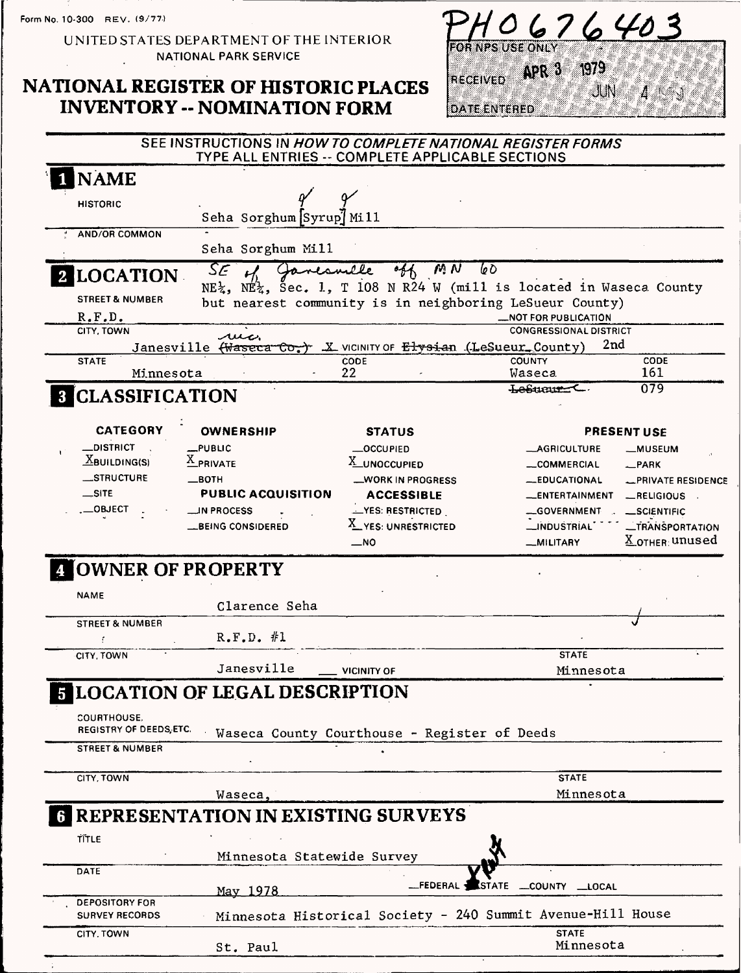Form No. 10-300 REV. (9/77)

UNITED STATES DEPARTMENT OF THE INTERIOR NATIONAL PARK SERVICE

### NATIONAL REGISTER OF HISTORIC PLACES **INVENTORY -- NOMINATION FORM**



|                                                | SEE INSTRUCTIONS IN HOW TO COMPLETE NATIONAL REGISTER FORMS | TYPE ALL ENTRIES -- COMPLETE APPLICABLE SECTIONS                                                                                                     |                                |                                               |
|------------------------------------------------|-------------------------------------------------------------|------------------------------------------------------------------------------------------------------------------------------------------------------|--------------------------------|-----------------------------------------------|
| <b>NAME</b>                                    |                                                             |                                                                                                                                                      |                                |                                               |
| <b>HISTORIC</b>                                | Seha Sorghum Syrup] Mill                                    |                                                                                                                                                      |                                |                                               |
| <b>AND/OR COMMON</b>                           |                                                             |                                                                                                                                                      |                                |                                               |
|                                                | Seha Sorghum Mill                                           |                                                                                                                                                      |                                |                                               |
| <b>2 LOCATION</b>                              | SE<br>Janesville<br>$\mathcal{L}$                           | M N                                                                                                                                                  | 60                             |                                               |
| <b>STREET &amp; NUMBER</b>                     |                                                             | $NE_{\lambda}$ , $NE_{\lambda}$ , Sec. 1, T 108 N R24 W (mill is located in Waseca County<br>but nearest community is in neighboring LeSueur County) |                                |                                               |
| R.F.D.                                         |                                                             |                                                                                                                                                      | <b>_NOT FOR PUBLICATION</b>    |                                               |
| CITY, TOWN                                     | بمعلله                                                      |                                                                                                                                                      | <b>CONGRESSIONAL DISTRICT</b>  |                                               |
|                                                | Janesville (Waseca Co.                                      | $X$ vicinity of $E$ lysian (LeSueur County)                                                                                                          |                                | 2nd                                           |
| <b>STATE</b>                                   |                                                             | CODE<br>22                                                                                                                                           | <b>COUNTY</b>                  | CODE<br>161                                   |
| Minnesota                                      |                                                             |                                                                                                                                                      | <b>Waseca</b><br>Lesurur C     | 079                                           |
| <b>8 CLASSIFICATION</b>                        |                                                             |                                                                                                                                                      |                                |                                               |
| <b>CATEGORY</b>                                | <b>OWNERSHIP</b>                                            | <b>STATUS</b>                                                                                                                                        |                                | <b>PRESENT USE</b>                            |
| <b>_DISTRICT</b>                               | $_{\text{-}}$ PUBLIC                                        | <b>_OCCUPIED</b>                                                                                                                                     | <b>__AGRICULTURE</b>           | <b>__MUSEUM</b>                               |
| $\Delta$ BUILDING(S)                           | $\underline{X}$ PRIVATE                                     | X_UNOCCUPIED                                                                                                                                         | __COMMERCIAL                   | $\equiv$ PARK                                 |
| <b>STRUCTURE</b>                               | $\equiv$ BOTH                                               | _WORK IN PROGRESS                                                                                                                                    | <b>__EDUCATIONAL</b>           | <b>_PRIVATE RESIDENCE</b>                     |
| $\equiv$ SITE                                  | <b>PUBLIC ACQUISITION</b>                                   | <b>ACCESSIBLE</b>                                                                                                                                    | __ENTERTAINMENT                | __RELIGIOUS                                   |
| $\_$ OBJECT $\,$                               | — IN PROCESS                                                | <b>LYES: RESTRICTED</b>                                                                                                                              | __GOVERNMENT                   | _SCIENTIFIC                                   |
|                                                | <b>__BEING CONSIDERED</b>                                   | X_YES: UNRESTRICTED                                                                                                                                  | __INDUSTRIAL                   | <b>_TRANSPORTATION</b>                        |
|                                                |                                                             | $\overline{\phantom{0}}$ NO                                                                                                                          | __MILITARY                     | $\underline{\chi}_{\mathsf{.OTHER}^+}$ unused |
|                                                | OWNER OF PROPERTY                                           |                                                                                                                                                      |                                |                                               |
| <b>NAME</b>                                    |                                                             |                                                                                                                                                      |                                |                                               |
|                                                | Clarence Seha                                               |                                                                                                                                                      |                                |                                               |
| <b>STREET &amp; NUMBER</b>                     |                                                             |                                                                                                                                                      |                                |                                               |
| Ť                                              | $R.F.D.$ #1                                                 |                                                                                                                                                      |                                |                                               |
| CITY, TOWN                                     |                                                             |                                                                                                                                                      | <b>STATE</b>                   |                                               |
|                                                | Janesville                                                  | <b>VICINITY OF</b>                                                                                                                                   | Minnesota                      |                                               |
|                                                | <b>5 LOCATION OF LEGAL DESCRIPTION</b>                      |                                                                                                                                                      |                                |                                               |
| COURTHOUSE.<br><b>REGISTRY OF DEEDS ETC.</b>   |                                                             |                                                                                                                                                      |                                |                                               |
|                                                |                                                             | Waseca County Courthouse - Register of Deeds                                                                                                         |                                |                                               |
| <b>STREET &amp; NUMBER</b>                     |                                                             |                                                                                                                                                      |                                |                                               |
| CITY, TOWN                                     |                                                             |                                                                                                                                                      | <b>STATE</b>                   |                                               |
|                                                |                                                             |                                                                                                                                                      | Minnesota                      |                                               |
|                                                | Waseca,<br>REPRESENTATION IN EXISTING SURVEYS               |                                                                                                                                                      |                                |                                               |
|                                                |                                                             |                                                                                                                                                      |                                |                                               |
| TITLE                                          |                                                             |                                                                                                                                                      |                                |                                               |
|                                                | Minnesota Statewide Survey                                  |                                                                                                                                                      |                                |                                               |
| DATE                                           |                                                             |                                                                                                                                                      |                                |                                               |
|                                                | May 1978                                                    | __FEDERAL:                                                                                                                                           | <b>I</b> STATE<br>COUNTY LOCAL |                                               |
| <b>DEPOSITORY FOR</b><br><b>SURVEY RECORDS</b> |                                                             | Minnesota Historical Society - 240 Summit Avenue-Hill House                                                                                          |                                |                                               |
| CITY, TOWN                                     |                                                             |                                                                                                                                                      | <b>STATE</b>                   |                                               |
|                                                | St. Paul                                                    |                                                                                                                                                      | Minnesota                      |                                               |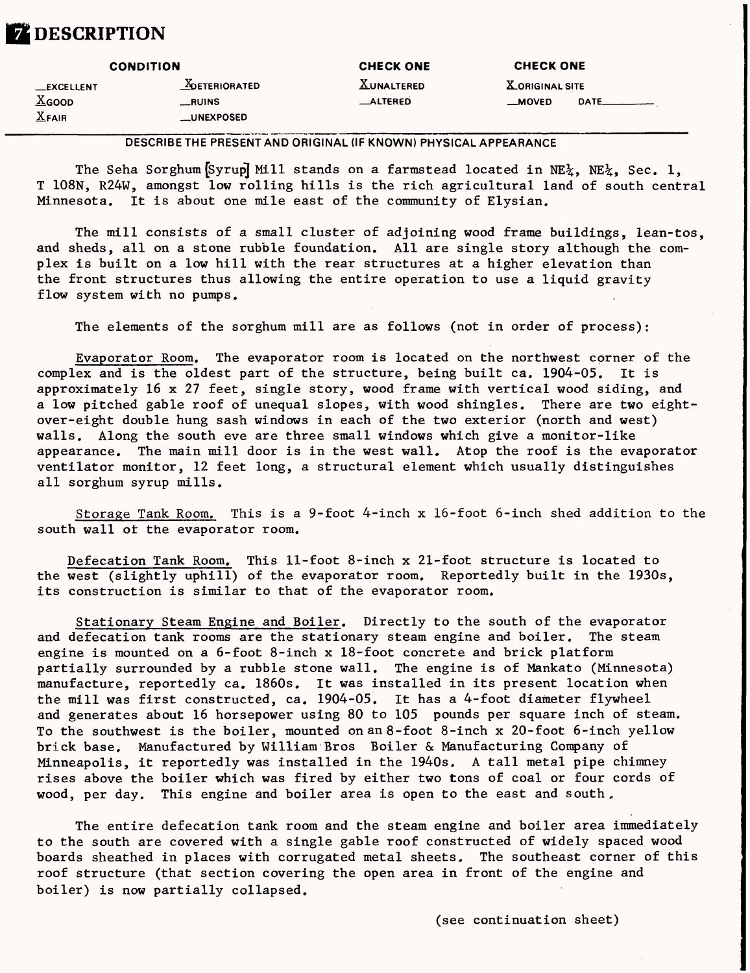## **Z** DESCRIPTION

| <b>CONDITION</b>            |                      | <b>CHECK ONE</b>  | <b>CHECK ONE</b>       |          |  |
|-----------------------------|----------------------|-------------------|------------------------|----------|--|
| <b>__EXCELLENT</b>          | <b>ADETERIORATED</b> | <b>XUNALTERED</b> | <b>X</b> ORIGINAL SITE |          |  |
| $\underline{\text{X}}$ GOOD | __RUINS              | <b>_ALTERED</b>   | __MOVED                | DATE____ |  |
| $X$ FAIR                    | __UNEXPOSED          |                   |                        |          |  |

DESCRIBE THE PRESENT AND ORIGINAL (IF KNOWN) PHYSICAL APPEARANCE

The Seha Sorghum  $Syrup$  Mill stands on a farmstead located in NE $\chi$ , NE $\chi$ , Sec. 1, T 108N", R24W, amongst low rolling hills is the rich agricultural land of south central Minnesota. It is about one mile east of the community of Elysian.

The mill consists of a small cluster of adjoining wood frame buildings, lean-tos, and sheds, all on a stone rubble foundation. All are single story although the complex is built on a low hill with the rear structures at a higher elevation than the front structures thus allowing the entire operation to use a liquid gravity flow system with no pumps.

The elements of the sorghum mill are as follows (not in order of process):

Evaporator Room. The evaporator room is located on the northwest corner of the complex and is the oldest part of the structure, being built ca. 1904-05. It is approximately 16 x 27 feet, single story, wood frame with vertical wood siding, and a low pitched gable roof of unequal slopes, with wood shingles. There are two eightover-eight double hung sash windows in each of the two exterior (north and west) walls. Along the south eve are three small windows which give a monitor-like appearance. The main mill door is in the west wall. Atop the roof is the evaporator ventilator monitor, 12 feet long, a structural element which usually distinguishes all sorghum syrup mills.

Storage Tank Room, This is a 9-foot 4-inch x 16-foot 6-inch shed addition to the south wall of the evaporator room.

Defecation Tank Room. This 11-foot 8-inch x 21-foot structure is located to the west (slightly uphill) of the evaporator room. Reportedly built in the 1930s, its construction is similar to that of the evaporator room.

Stationary Steam Engine and Boiler. Directly to the south of the evaporator and defecation tank rooms are the stationary steam engine and boiler. The steam engine is mounted on a 6-foot 8-inch x 18-foot concrete and brick platform partially surrounded by a rubble stone wall. The engine is of Mankato (Minnesota) manufacture, reportedly ca. 1860s. It was installed in its present location when the mill was first constructed, ca. 1904-05. It has a 4-foot diameter flywheel and generates about 16 horsepower using 80 to 105 pounds per square inch of steam. To the southwest is the boiler, mounted on an 8-foot 8-inch x 20-foot 6-inch yellow brick base. Manufactured by William Bros Boiler & Manufacturing Company of Minneapolis, it reportedly was installed in the 1940s. A tall metal pipe chimney rises above the boiler which was fired by either two tons of coal or four cords of wood, per day. This engine and boiler area is open to the east and south.

The entire defecation tank room and the steam engine and boiler area immediately to the south are covered with a single gable roof constructed of widely spaced wood boards sheathed in places with corrugated metal sheets. The southeast corner of this roof structure (that section covering the open area in front of the engine and boiler) is now partially collapsed.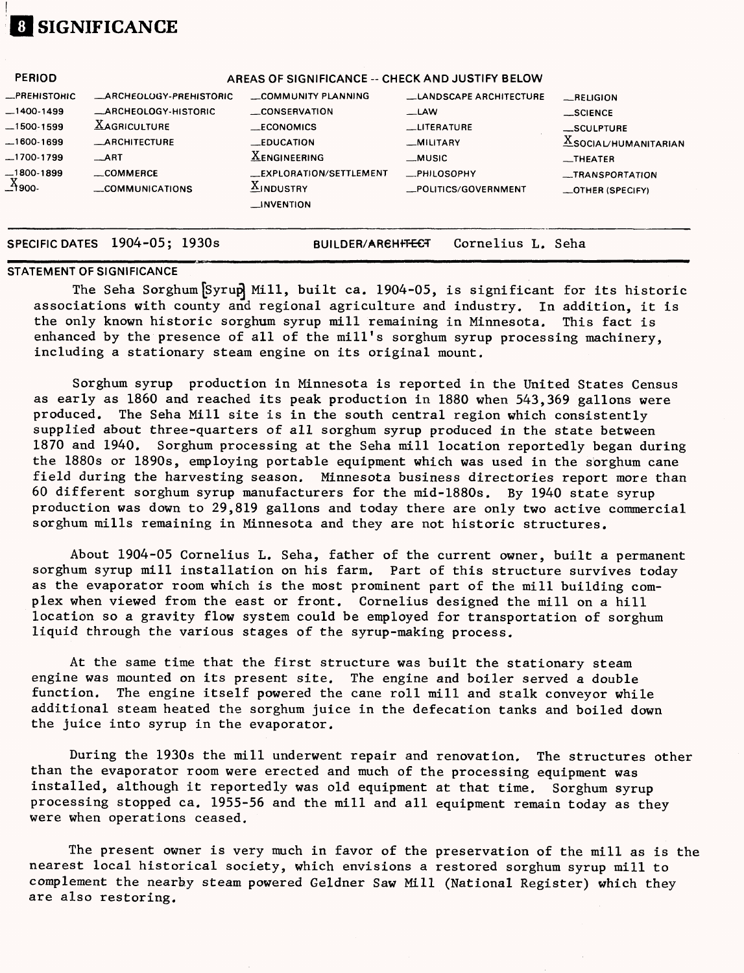# *im* **SIGNIFICANCE**

| <b>PERIOD</b> | AREAS OF SIGNIFICANCE -- CHECK AND JUSTIFY BELOW |                          |                               |                                            |  |  |
|---------------|--------------------------------------------------|--------------------------|-------------------------------|--------------------------------------------|--|--|
| _PREHISTOHIC  | <b>_ARCHEOLOGY-PREHISTORIC</b>                   | COMMUNITY PLANNING       | <b>LANDSCAPE ARCHITECTURE</b> | $-$ RELIGION                               |  |  |
| $-1400-1499$  | <b>_ARCHEOLOGY-HISTORIC</b>                      | CONSERVATION             | _LAW                          | $\_$ SCIENCE                               |  |  |
| -1500-1599    | <b>XAGRICULTURE</b>                              | <b>ECONOMICS</b>         | <b>LITERATURE</b>             | __SCULPTURE                                |  |  |
| 1600-1699     | <b>_ARCHITECTURE</b>                             | <b>EDUCATION</b>         | <b>MILITARY</b>               | $\underline{\text{X}}$ SOCIAL/HUMANITARIAN |  |  |
| 1700-1799_    | ART                                              | <b>XENGINEERING</b>      | __MUSIC                       | THEATER                                    |  |  |
| —1800-1899    | $\equiv$ COMMERCE                                | _EXPLORATION/SETTLEMENT  | <b>_PHILOSOPHY</b>            | __TRANSPORTATION                           |  |  |
| $X_{900}$ .   | COMMUNICATIONS                                   | $\underline{X}$ INDUSTRY | _POLITICS/GOVERNMENT          | $\equiv$ OTHER (SPECIFY)                   |  |  |
|               |                                                  | $\equiv$ INVENTION       |                               |                                            |  |  |
|               |                                                  |                          |                               |                                            |  |  |

**SPECIFIC DATES 1904-05; 1930s BUILDER/AReHfTECT Cornelius L. Seha**

#### **STATEMENT OF SIGNIFICANCE**

The Seha Sorghum [Syrup] Mill, built ca. 1904-05, is significant for its historic associations with county and regional agriculture and industry. In addition, it is the only known historic sorghum syrup mill remaining in Minnesota. This fact is enhanced by the presence of all of the mill's sorghum syrup processing machinery, including a stationary steam engine on its original mount.

Sorghum syrup production in Minnesota is reported in the United States Census as early as 1860 and reached its peak production in 1880 when 543,369 gallons were produced. The Seha Mill site is in the south central region which consistently supplied about three-quarters of all sorghum syrup produced in the state between 1870 and 1940. Sorghum processing at the Seha mill location reportedly began during the 1880s or 1890s, employing portable equipment which was used in the sorghum cane field during the harvesting season. Minnesota business directories report more than 60 different sorghum syrup manufacturers for the mid-1880s. By 1940 state syrup production was down to 29,819 gallons and today there are only two active commercial sorghum mills remaining in Minnesota and they are not historic structures.

About 1904-05 Cornelius L. Seha, father of the current owner, built a permanent sorghum syrup mill installation on his farm. Part of this structure survives today as the evaporator room which is the most prominent part of the mill building complex when viewed from the east or front. Cornelius designed the mill on a hill location so a gravity flow system could be employed for transportation of sorghum liquid through the various stages of the syrup-making process.

At the same time that the first structure was built the stationary steam engine was mounted on its present site. The engine and boiler served a double function. The engine itself powered the cane roll mill and stalk conveyor while additional steam heated the sorghum juice in the defecation tanks and boiled down the juice into syrup in the evaporator.

During the 1930s the mill underwent repair and renovation. The structures other than the evaporator room were erected and much of the processing equipment was installed, although it reportedly was old equipment at that time. Sorghum syrup processing stopped ca. 1955-56 and the mill and all equipment remain today as they were when operations ceased.

The present owner is very much in favor of the preservation of the mill as is the nearest local historical society, which envisions a restored sorghum syrup mill to complement the nearby steam powered Geldner Saw Mill (National Register) which they are also restoring.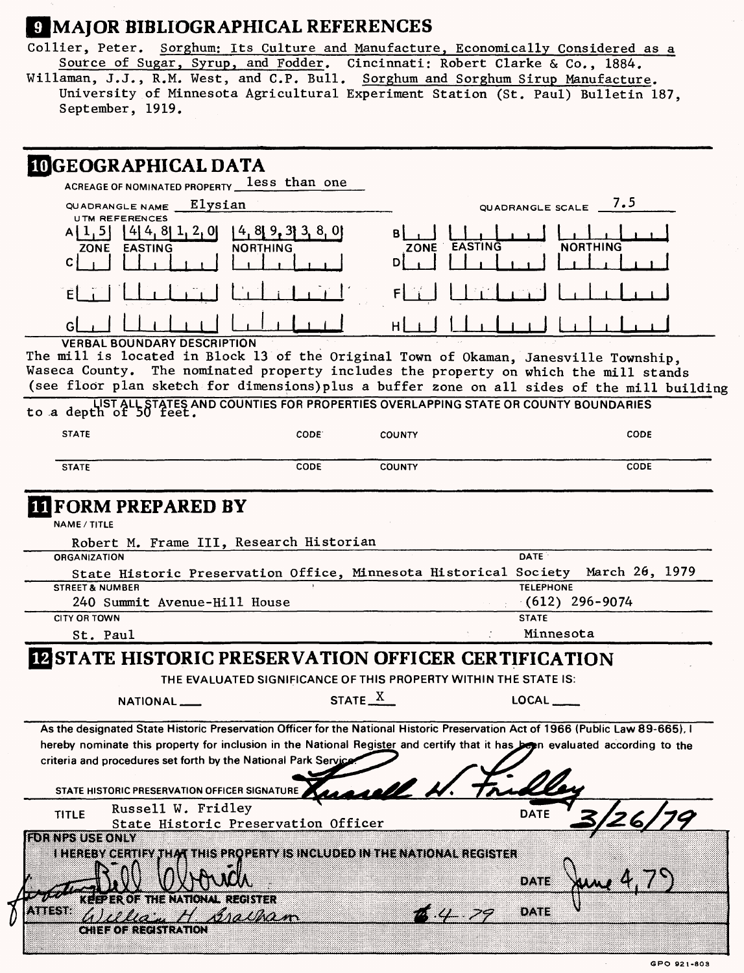### **9 MAJOR BIBLIOGRAPHICAL REFERENCES**

Collier, Peter. Sorghum: Its Culture and Manufacture, Economically Considered as a Source of Sugar, Syrup, and Fodder. Cincinnati: Robert Clarke & Co., 1884.<br>Willaman, J.J., R.M. West, and C.P. Bull. Sorghum and Sorghum Sirup Manufacture. University of Minnesota Agricultural Experiment Station (St. Paul) Bulletin 187, September, 1919.

|                                                                                                                                                    | ACREAGE OF NOMINATED PROPERTY less than one                              |                |                                                                                                                                                                                                                                                                             |  |
|----------------------------------------------------------------------------------------------------------------------------------------------------|--------------------------------------------------------------------------|----------------|-----------------------------------------------------------------------------------------------------------------------------------------------------------------------------------------------------------------------------------------------------------------------------|--|
| QUADRANGLE NAME<br><b>UTM REFERENCES</b>                                                                                                           | Elysian                                                                  |                | 7.5<br>QUADRANGLE SCALE                                                                                                                                                                                                                                                     |  |
| $[4]$ 4, 8, 1, 2, 0<br>ا د .<br><b>EASTING</b><br>ZONE<br>C.                                                                                       | $4, 8$ 9, 3 3, 8, 0<br><b>NORTHING</b>                                   | <b>EASTING</b> | NORTHING                                                                                                                                                                                                                                                                    |  |
|                                                                                                                                                    |                                                                          |                |                                                                                                                                                                                                                                                                             |  |
|                                                                                                                                                    |                                                                          |                |                                                                                                                                                                                                                                                                             |  |
| <b>VERBAL BOUNDARY DESCRIPTION</b><br>LIST ALL STATES AND COUNTIES FOR PROPERTIES OVERLAPPING STATE OR COUNTY BOUNDARIES<br>to a depth of 50 feet. |                                                                          |                | The mill is located in Block 13 of the Original Town of Okaman, Janesville Township,<br>Waseca County. The nominated property includes the property on which the mill stands<br>(see floor plan sketch for dimensions) plus a buffer zone on all sides of the mill building |  |
| <b>STATE</b>                                                                                                                                       | CODE:                                                                    | <b>COUNTY</b>  | <b>CODE</b>                                                                                                                                                                                                                                                                 |  |
| <b>STATE</b>                                                                                                                                       | CODE                                                                     | <b>COUNTY</b>  | CODE                                                                                                                                                                                                                                                                        |  |
| 240 Summit Avenue-Hill House<br><b>CITY OR TOWN</b>                                                                                                |                                                                          |                | $(612)$ 296-9074<br><b>STATE</b>                                                                                                                                                                                                                                            |  |
| St. Paul                                                                                                                                           |                                                                          |                | Minnesota                                                                                                                                                                                                                                                                   |  |
| <b>IN STATE HISTORIC PRESERVATION OFFICER CERTIFICATION</b>                                                                                        | THE EVALUATED SIGNIFICANCE OF THIS PROPERTY WITHIN THE STATE IS:         | STATE X        | LOCAL                                                                                                                                                                                                                                                                       |  |
| NATIONAL____                                                                                                                                       |                                                                          |                | As the designated State Historic Preservation Officer for the National Historic Preservation Act of 1966 (Public Law 89-665), I                                                                                                                                             |  |
| criteria and procedures set forth by the National Park Service<br>STATE HISTORIC PRESERVATION OFFICER SIGNATURE                                    |                                                                          | rasell L       | hereby nominate this property for inclusion in the National Register and certify that it has been evaluated according to the                                                                                                                                                |  |
| Russell W. Fridley<br><b>TITLE</b>                                                                                                                 | State Historic Preservation Officer                                      |                | <b>DATE</b>                                                                                                                                                                                                                                                                 |  |
| <b>FOR NPS USE ONLY</b>                                                                                                                            | I HEREBY CERTIFY THAT THIS PROPERTY IS INCLUDED IN THE NATIONAL REGISTER |                | owe                                                                                                                                                                                                                                                                         |  |
| KEEPER OF THE NATIONAL REGISTER<br>\x1%78<br>Ua -<br>CHIEF OF REGISTRATION                                                                         | <i>braitham</i>                                                          |                | DATE                                                                                                                                                                                                                                                                        |  |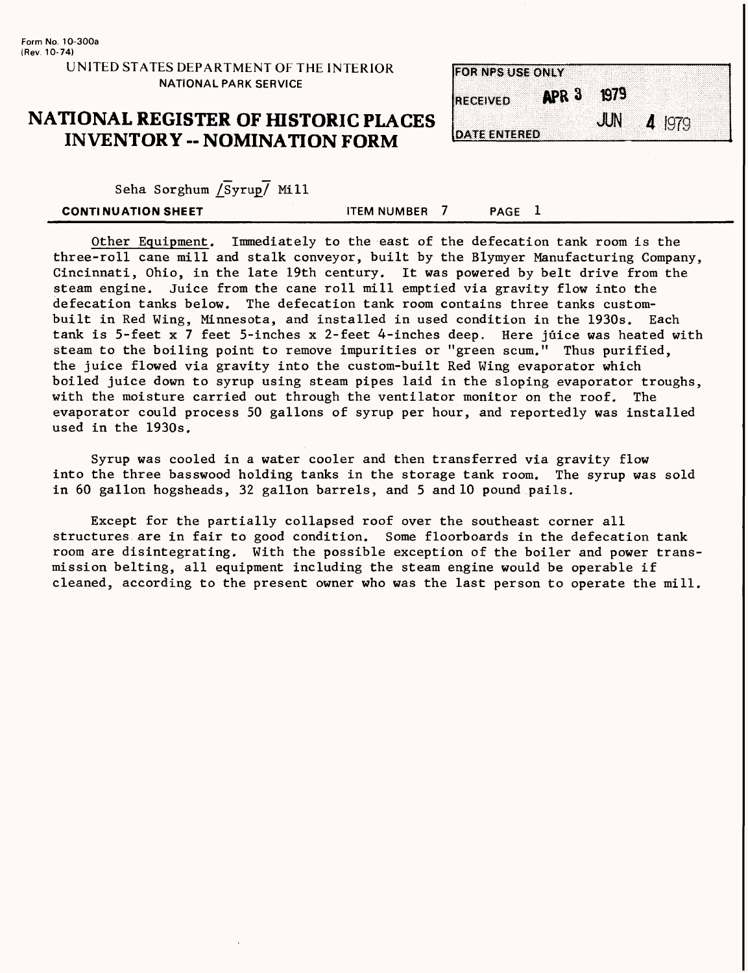### UNITED STATES DEPARTMENT OF THE INTERIOR NATIONAL PARK SERVICE

### **NATIONAL REGISTER OF HISTORIC PLACES INVENTORY -- NOMINATION FORM**

| <b>FOR NPS USE ONLY</b> |                  |      |          |
|-------------------------|------------------|------|----------|
| <b>RECEIVED</b>         | APR <sub>3</sub> | 1979 |          |
|                         |                  | JUN  | $4$ 1979 |
| <b>DATE ENTERED</b>     |                  |      |          |

Seha Sorghum  $\sqrt{S}$ yrup $\sqrt{M}$  Mill

| <b>CONTINUATION SHEET</b> | <b>ITEM NUMBER</b> | <b>PAGE</b> |  |
|---------------------------|--------------------|-------------|--|
|                           |                    |             |  |

Other Equipment. Immediately to the east of the defecation tank room is the three-roll cane mill and stalk conveyor, built by the Blymyer Manufacturing Company, Cincinnati, Ohio, in the late 19th century, it was powered by belt drive from the steam engine. Juice from the cane roll mill emptied via gravity flow into the defecation tanks below. The defecation tank room contains three tanks custombuilt in Red Wing, Minnesota, and installed in used condition in the 1930s. Each tank is 5-feet x 7 feet 5-inches x 2-feet 4-inches deep. Here juice was heated with steam to the boiling point to remove impurities or "green scum." Thus purified, the juice flowed via gravity into the custom-built Red Wing evaporator which boiled juice down to syrup using steam pipes laid in the sloping evaporator troughs, with the moisture carried out through the ventilator monitor on the roof. The evaporator could process 50 gallons of syrup per hour, and reportedly was installed used in the 1930s.

Syrup was cooled in a water cooler and then transferred via gravity flow into the three basswood holding tanks in the storage tank room. The syrup was sold in 60 gallon hogsheads, 32 gallon barrels, and 5 and 10 pound pails.

Except for the partially collapsed roof over the southeast corner all structures are in fair to good condition. Some floorboards in the defecation tank room are disintegrating. With the possible exception of the boiler and power transmission belting, all equipment including the steam engine would be operable if cleaned, according to the present owner who was the last person to operate the mill.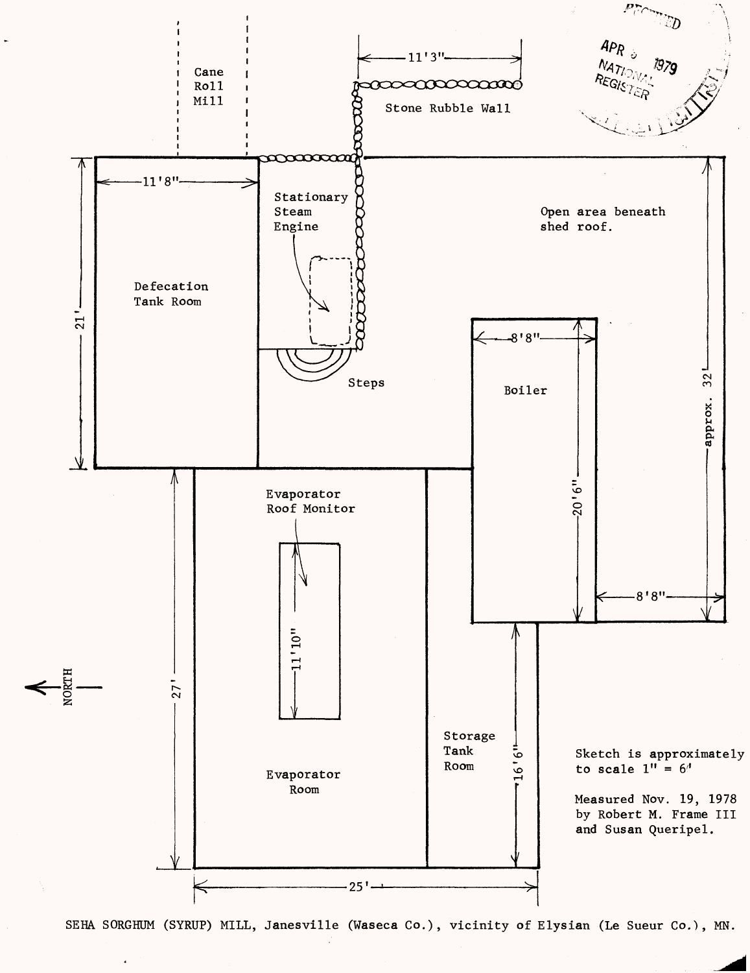

SEHA SORGHUM (SYRUP) MILL, Janesville (Waseca Co.), vicinity of Elysian (Le Sueur Co.), MN.